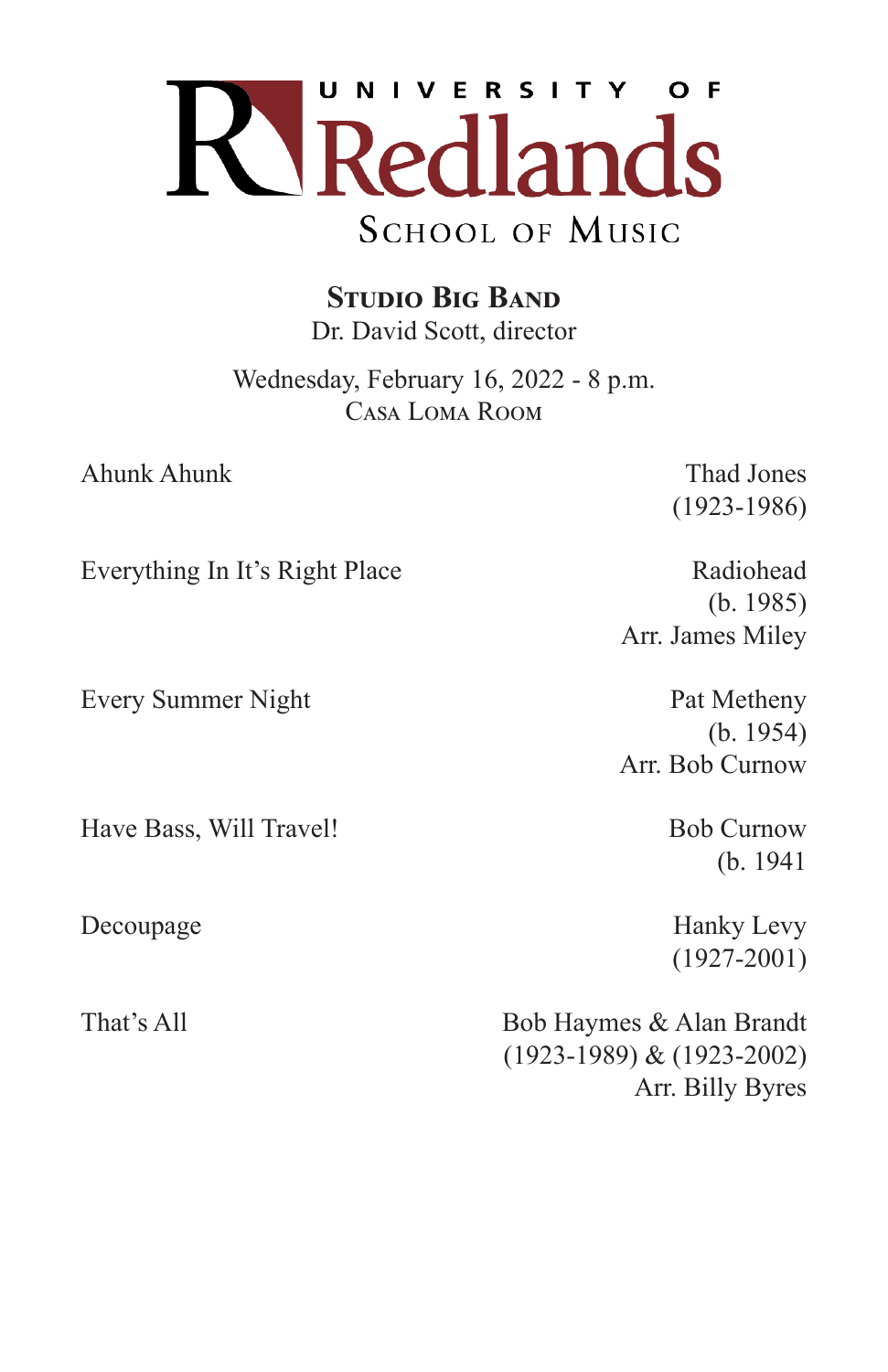

**STUDIO BIG BAND** 

Dr. David Scott, director

Wednesday, February 16, 2022 - 8 p.m. Casa Loma Room

Ahunk Ahunk Thad Jones

(1923-1986)

Everything In It's Right Place Radiohead

Every Summer Night Pat Metheny

Have Bass, Will Travel! Bob Curnow

 (b. 1985) Arr. James Miley

 (b. 1954) Arr. Bob Curnow

(b. 1941

Decoupage Hanky Levy (1927-2001)

That's All Bob Haymes & Alan Brandt (1923-1989) & (1923-2002) Arr. Billy Byres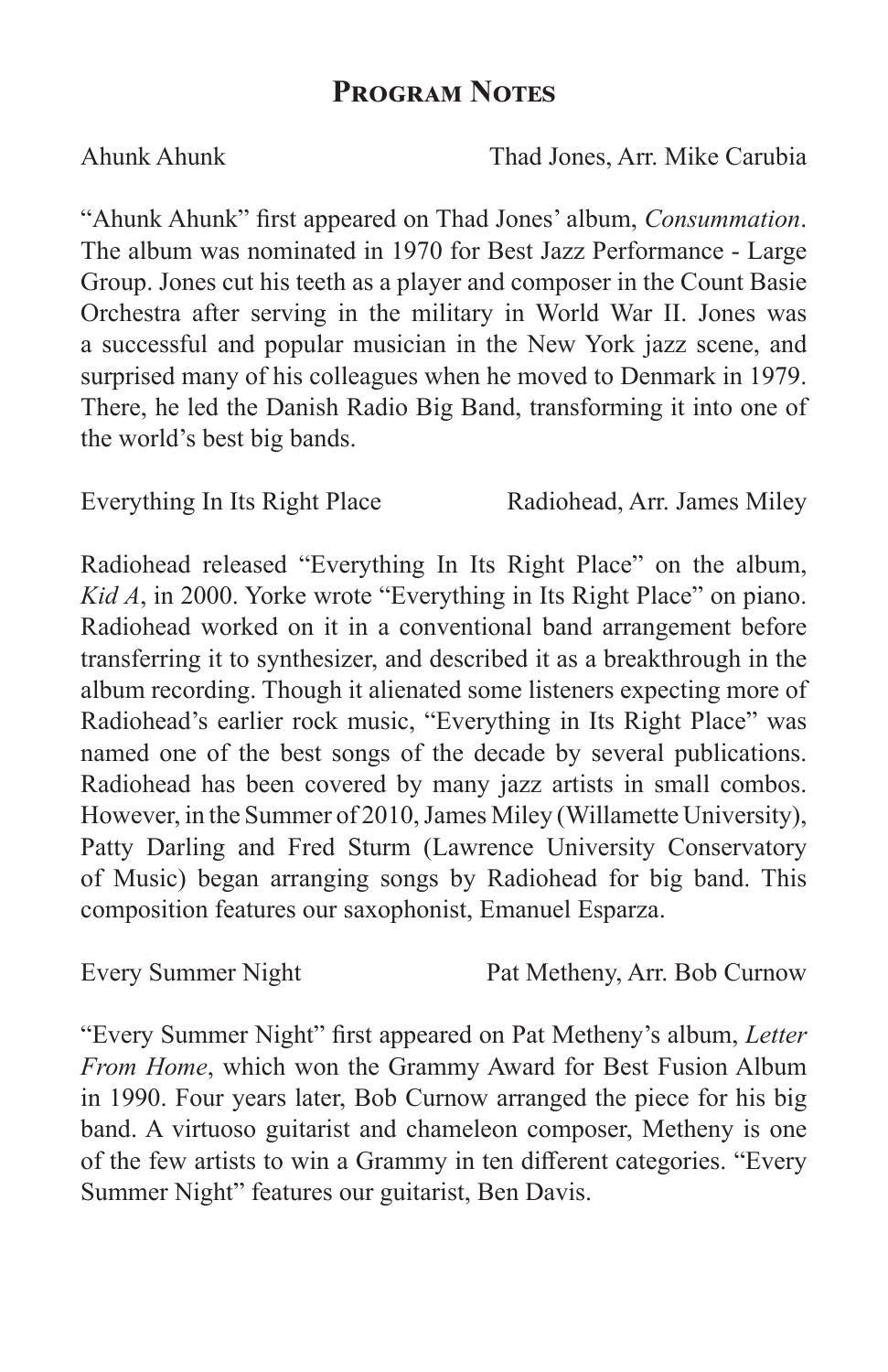## **Program Notes**

Ahunk Ahunk Thad Jones, Arr. Mike Carubia

"Ahunk Ahunk" first appeared on Thad Jones' album, *Consummation*. The album was nominated in 1970 for Best Jazz Performance - Large Group. Jones cut his teeth as a player and composer in the Count Basie Orchestra after serving in the military in World War II. Jones was a successful and popular musician in the New York jazz scene, and surprised many of his colleagues when he moved to Denmark in 1979. There, he led the Danish Radio Big Band, transforming it into one of the world's best big bands.

Everything In Its Right Place Radiohead, Arr. James Miley

Radiohead released "Everything In Its Right Place" on the album, *Kid A*, in 2000. Yorke wrote "Everything in Its Right Place" on piano. Radiohead worked on it in a conventional band arrangement before transferring it to synthesizer, and described it as a breakthrough in the album recording. Though it alienated some listeners expecting more of Radiohead's earlier rock music, "Everything in Its Right Place" was named one of the best songs of the decade by several publications. Radiohead has been covered by many jazz artists in small combos. However, in the Summer of 2010, James Miley (Willamette University), Patty Darling and Fred Sturm (Lawrence University Conservatory of Music) began arranging songs by Radiohead for big band. This composition features our saxophonist, Emanuel Esparza.

Every Summer Night Pat Metheny, Arr. Bob Curnow

"Every Summer Night" first appeared on Pat Metheny's album, *Letter From Home*, which won the Grammy Award for Best Fusion Album in 1990. Four years later, Bob Curnow arranged the piece for his big band. A virtuoso guitarist and chameleon composer, Metheny is one of the few artists to win a Grammy in ten different categories. "Every Summer Night" features our guitarist, Ben Davis.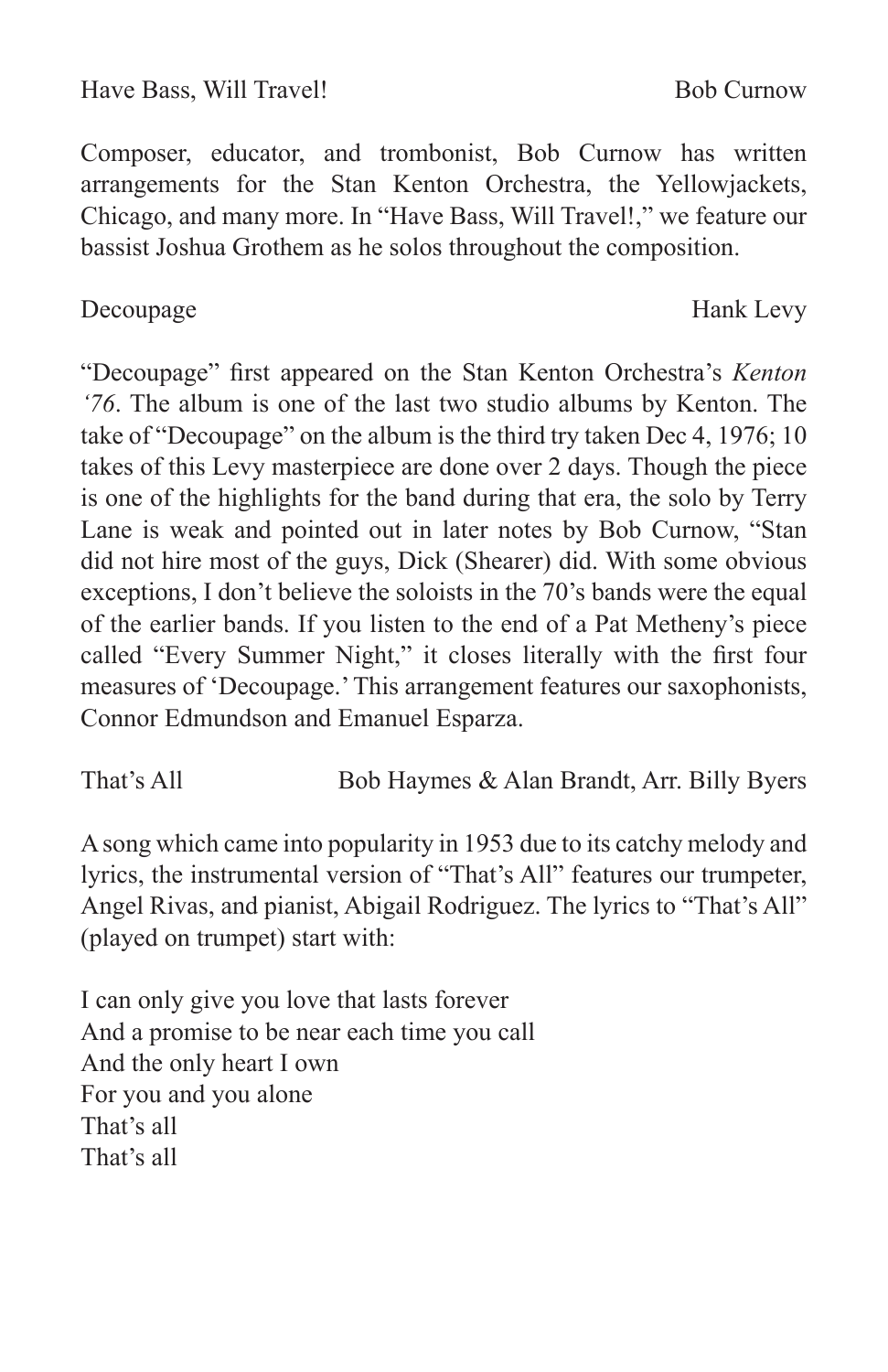#### Have Bass, Will Travel! Bob Curnow

Composer, educator, and trombonist, Bob Curnow has written arrangements for the Stan Kenton Orchestra, the Yellowjackets, Chicago, and many more. In "Have Bass, Will Travel!," we feature our bassist Joshua Grothem as he solos throughout the composition.

"Decoupage" first appeared on the Stan Kenton Orchestra's *Kenton '76*. The album is one of the last two studio albums by Kenton. The take of "Decoupage" on the album is the third try taken Dec 4, 1976; 10 takes of this Levy masterpiece are done over 2 days. Though the piece is one of the highlights for the band during that era, the solo by Terry Lane is weak and pointed out in later notes by Bob Curnow, "Stan did not hire most of the guys, Dick (Shearer) did. With some obvious exceptions, I don't believe the soloists in the 70's bands were the equal of the earlier bands. If you listen to the end of a Pat Metheny's piece called "Every Summer Night," it closes literally with the first four measures of 'Decoupage.' This arrangement features our saxophonists, Connor Edmundson and Emanuel Esparza.

That's All Bob Haymes & Alan Brandt, Arr. Billy Byers

A song which came into popularity in 1953 due to its catchy melody and lyrics, the instrumental version of "That's All" features our trumpeter, Angel Rivas, and pianist, Abigail Rodriguez. The lyrics to "That's All" (played on trumpet) start with:

I can only give you love that lasts forever And a promise to be near each time you call And the only heart I own For you and you alone That's all That's all

Decoupage Hank Levy